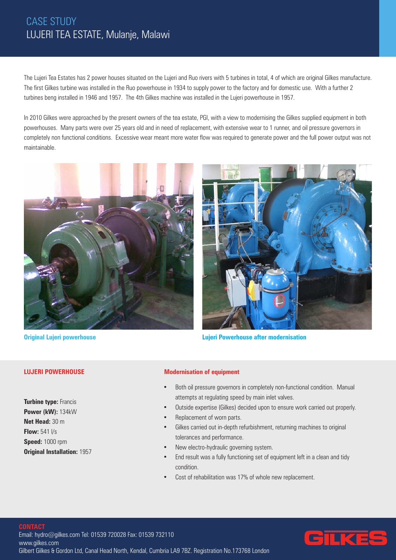# CASE STUDY LUJERI TEA ESTATE, Mulanje, Malawi

The Lujeri Tea Estates has 2 power houses situated on the Lujeri and Ruo rivers with 5 turbines in total, 4 of which are original Gilkes manufacture. The first Gilkes turbine was installed in the Ruo powerhouse in 1934 to supply power to the factory and for domestic use. With a further 2 turbines beng installed in 1946 and 1957. The 4th Gilkes machine was installed in the Lujeri powerhouse in 1957.

In 2010 Gilkes were approached by the present owners of the tea estate, PGI, with a view to modernising the Gilkes supplied equipment in both powerhouses. Many parts were over 25 years old and in need of replacement, with extensive wear to 1 runner, and oil pressure governors in completely non functional conditions. Excessive wear meant more water flow was required to generate power and the full power output was not maintainable.



# **LUJERI POWERHOUSE**

**Turbine type: Francis Power (kW):** 134kW **Net Head:** 30 m **Flow:** 541 l/s **Speed:** 1000 rpm **Original Installation:** 1957



**Original Lujeri powerhouse Lujeri Powerhouse after modernisation**

## **Modernisation of equipment**

- Both oil pressure governors in completely non-functional condition. Manual attempts at regulating speed by main inlet valves.
- Outside expertise (Gilkes) decided upon to ensure work carried out properly.
- Replacement of worn parts.
- Gilkes carried out in-depth refurbishment, returning machines to original tolerances and performance.
- New electro-hydraulic governing system.
- End result was a fully functioning set of equipment left in a clean and tidy condition.
- Cost of rehabilitation was 17% of whole new replacement.

## **CONTACT**

Email: hydro@gilkes.com Tel: 01539 720028 Fax: 01539 732110 www.gilkes.com Gilbert Gilkes & Gordon Ltd, Canal Head North, Kendal, Cumbria LA9 7BZ. Registration No.173768 London